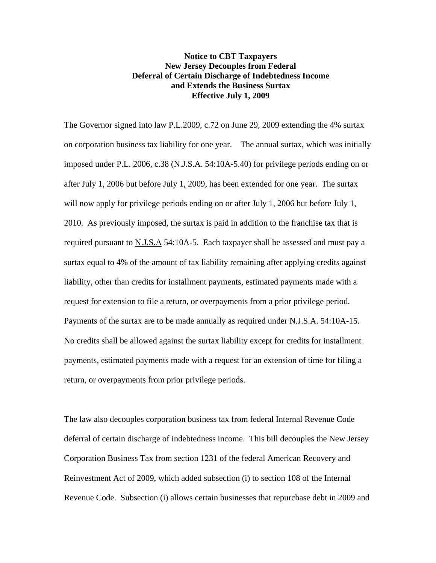## **Notice to CBT Taxpayers New Jersey Decouples from Federal Deferral of Certain Discharge of Indebtedness Income and Extends the Business Surtax Effective July 1, 2009**

The Governor signed into law P.L.2009, c.72 on June 29, 2009 extending the 4% surtax on corporation business tax liability for one year. The annual surtax, which was initially imposed under P.L. 2006, c.38 (N.J.S.A. 54:10A-5.40) for privilege periods ending on or after July 1, 2006 but before July 1, 2009, has been extended for one year. The surtax will now apply for privilege periods ending on or after July 1, 2006 but before July 1, 2010. As previously imposed, the surtax is paid in addition to the franchise tax that is required pursuant to N.J.S.A 54:10A-5. Each taxpayer shall be assessed and must pay a surtax equal to 4% of the amount of tax liability remaining after applying credits against liability, other than credits for installment payments, estimated payments made with a request for extension to file a return, or overpayments from a prior privilege period. Payments of the surtax are to be made annually as required under N.J.S.A. 54:10A-15. No credits shall be allowed against the surtax liability except for credits for installment payments, estimated payments made with a request for an extension of time for filing a return, or overpayments from prior privilege periods.

The law also decouples corporation business tax from federal Internal Revenue Code deferral of certain discharge of indebtedness income. This bill decouples the New Jersey Corporation Business Tax from section 1231 of the federal American Recovery and Reinvestment Act of 2009, which added subsection (i) to section 108 of the Internal Revenue Code. Subsection (i) allows certain businesses that repurchase debt in 2009 and